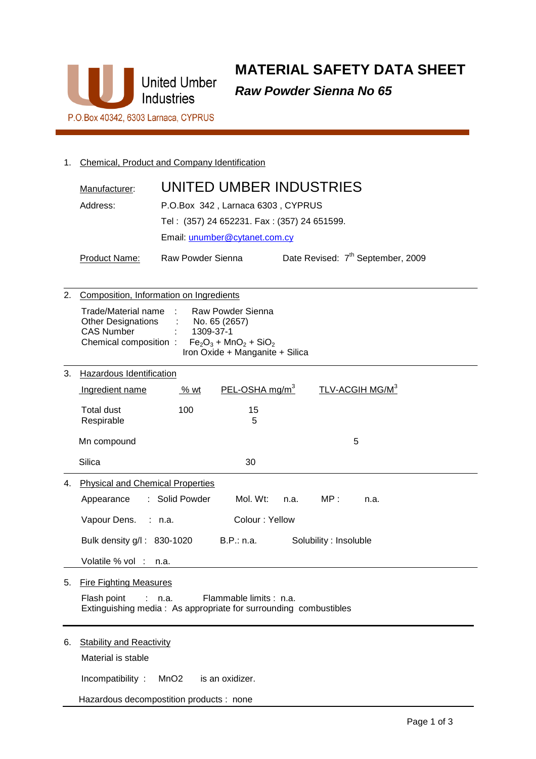

**MATERIAL SAFETY DATA SHEET Raw Powder Sienna No 65** 

1. Chemical, Product and Company Identification

|    | Manufacturer:                                                                                                                                                                                                 | UNITED UMBER INDUSTRIES                                             |  |  |
|----|---------------------------------------------------------------------------------------------------------------------------------------------------------------------------------------------------------------|---------------------------------------------------------------------|--|--|
|    | Address:<br>P.O.Box 342, Larnaca 6303, CYPRUS                                                                                                                                                                 |                                                                     |  |  |
|    |                                                                                                                                                                                                               | Tel: (357) 24 652231. Fax: (357) 24 651599.                         |  |  |
|    |                                                                                                                                                                                                               | Email: unumber@cytanet.com.cy                                       |  |  |
|    |                                                                                                                                                                                                               |                                                                     |  |  |
|    | Product Name:                                                                                                                                                                                                 | Date Revised: 7 <sup>th</sup> September, 2009<br>Raw Powder Sienna  |  |  |
| 2. |                                                                                                                                                                                                               | Composition, Information on Ingredients                             |  |  |
|    | Trade/Material name<br>Raw Powder Sienna<br><b>Other Designations</b><br>No. 65 (2657)<br><b>CAS Number</b><br>1309-37-1<br>$Fe2O3 + MnO2 + SiO2$<br>Chemical composition:<br>Iron Oxide + Manganite + Silica |                                                                     |  |  |
| 3. | Hazardous Identification                                                                                                                                                                                      |                                                                     |  |  |
|    | Ingredient name                                                                                                                                                                                               | $PEL-OSHA$ mg/m <sup>3</sup><br>TLV-ACGIH MG/M <sup>3</sup><br>% wt |  |  |
|    | <b>Total dust</b><br>Respirable                                                                                                                                                                               | 100<br>15<br>5                                                      |  |  |
|    | Mn compound                                                                                                                                                                                                   | 5                                                                   |  |  |
|    | <b>Silica</b>                                                                                                                                                                                                 | 30                                                                  |  |  |
| 4. | <b>Physical and Chemical Properties</b>                                                                                                                                                                       |                                                                     |  |  |
|    | Appearance                                                                                                                                                                                                    | Solid Powder<br>Mol. Wt:<br>MP:<br>n.a.<br>n.a.                     |  |  |
|    | Vapour Dens.                                                                                                                                                                                                  | Colour: Yellow<br>: n.a.                                            |  |  |
|    | Bulk density g/l: 830-1020<br>Volatile % vol                                                                                                                                                                  | B.P.: n.a.<br>Solubility : Insoluble<br>n.a.                        |  |  |
|    |                                                                                                                                                                                                               |                                                                     |  |  |
| 5. | <b>Fire Fighting Measures</b><br>Flash point<br>Flammable limits : n.a.<br>n.a.<br>Extinguishing media: As appropriate for surrounding combustibles                                                           |                                                                     |  |  |
| 6. | <b>Stability and Reactivity</b><br>Material is stable                                                                                                                                                         |                                                                     |  |  |
|    | Incompatibility:                                                                                                                                                                                              | is an oxidizer.<br>MnO <sub>2</sub>                                 |  |  |

Hazardous decompostition products : none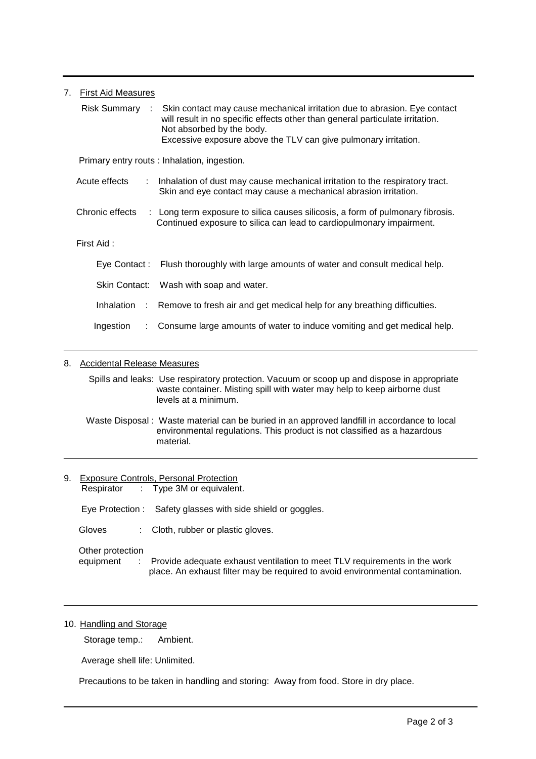| 7.                                           | <b>First Aid Measures</b>                      |                                                                                                                                                                                                                                                            |
|----------------------------------------------|------------------------------------------------|------------------------------------------------------------------------------------------------------------------------------------------------------------------------------------------------------------------------------------------------------------|
|                                              | Risk Summary :                                 | Skin contact may cause mechanical irritation due to abrasion. Eye contact<br>will result in no specific effects other than general particulate irritation.<br>Not absorbed by the body.<br>Excessive exposure above the TLV can give pulmonary irritation. |
| Primary entry routs : Inhalation, ingestion. |                                                |                                                                                                                                                                                                                                                            |
|                                              | Acute effects<br>$\mathcal{L}^{\mathcal{L}}$ . | Inhalation of dust may cause mechanical irritation to the respiratory tract.<br>Skin and eye contact may cause a mechanical abrasion irritation.                                                                                                           |
|                                              | Chronic effects                                | : Long term exposure to silica causes silicosis, a form of pulmonary fibrosis.<br>Continued exposure to silica can lead to cardiopulmonary impairment.                                                                                                     |
|                                              | First Aid:                                     |                                                                                                                                                                                                                                                            |
|                                              |                                                | Eye Contact: Flush thoroughly with large amounts of water and consult medical help.                                                                                                                                                                        |
|                                              |                                                | Skin Contact: Wash with soap and water.                                                                                                                                                                                                                    |
|                                              |                                                | Inhalation : Remove to fresh air and get medical help for any breathing difficulties.                                                                                                                                                                      |
|                                              | Ingestion<br>÷                                 | Consume large amounts of water to induce vomiting and get medical help.                                                                                                                                                                                    |

# 8. Accidental Release Measures

 Spills and leaks: Use respiratory protection. Vacuum or scoop up and dispose in appropriate waste container. Misting spill with water may help to keep airborne dust levels at a minimum.

 Waste Disposal : Waste material can be buried in an approved landfill in accordance to local environmental regulations. This product is not classified as a hazardous material.

9. Exposure Controls, Personal Protection Respirator : Type 3M or equivalent. Eye Protection : Safety glasses with side shield or goggles. Gloves : Cloth, rubber or plastic gloves. Other protection equipment : Provide adequate exhaust ventilation to meet TLV requirements in the work place. An exhaust filter may be required to avoid environmental contamination.

# 10. Handling and Storage

Storage temp.: Ambient.

Average shell life: Unlimited.

Precautions to be taken in handling and storing: Away from food. Store in dry place.